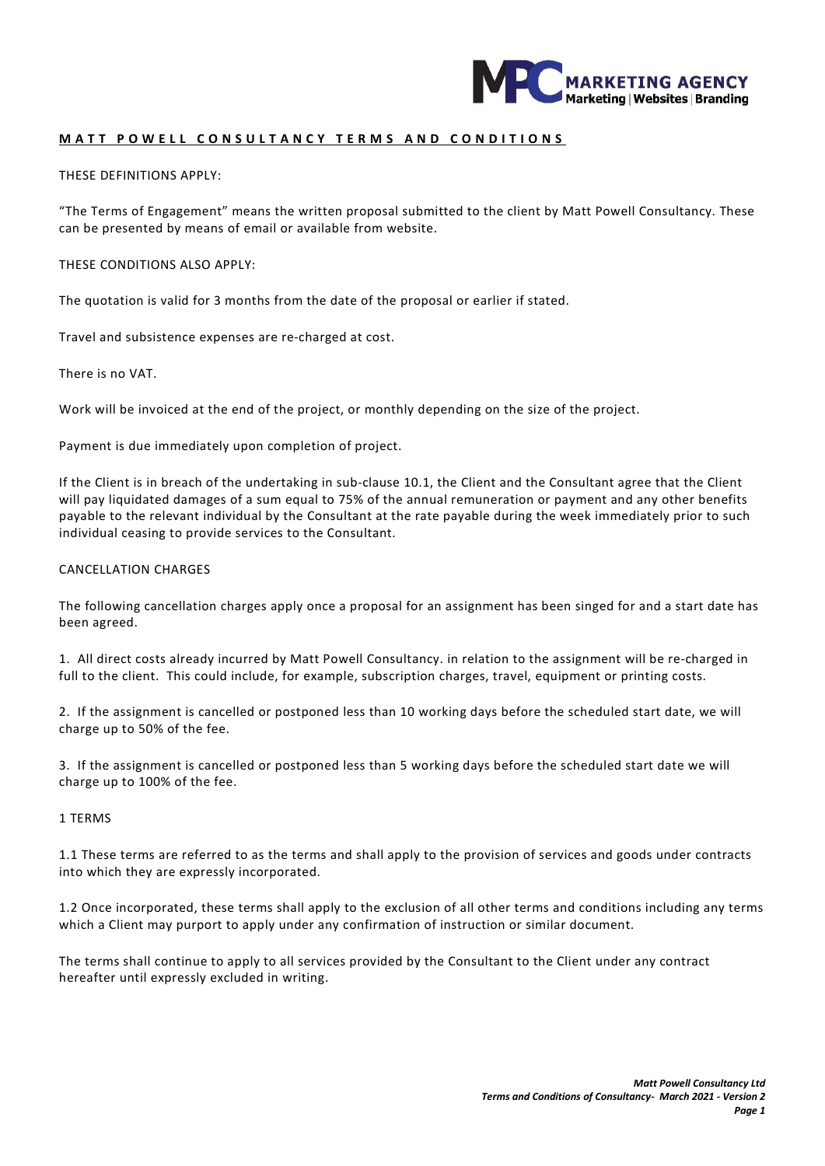

### MATT POWELL CONSULTANCY TERMS AND CONDITIONS

THESE DEFINITIONS APPLY:

"The Terms of Engagement" means the written proposal submitted to the client by Matt Powell Consultancy. These can be presented by means of email or available from website.

THESE CONDITIONS ALSO APPLY:

The quotation is valid for 3 months from the date of the proposal or earlier if stated.

Travel and subsistence expenses are re-charged at cost.

There is no VAT.

Work will be invoiced at the end of the project, or monthly depending on the size of the project.

Payment is due immediately upon completion of project.

If the Client is in breach of the undertaking in sub-clause 10.1, the Client and the Consultant agree that the Client will pay liquidated damages of a sum equal to 75% of the annual remuneration or payment and any other benefits payable to the relevant individual by the Consultant at the rate payable during the week immediately prior to such individual ceasing to provide services to the Consultant.

#### CANCELLATION CHARGES

The following cancellation charges apply once a proposal for an assignment has been singed for and a start date has been agreed.

1. All direct costs already incurred by Matt Powell Consultancy. in relation to the assignment will be re-charged in full to the client. This could include, for example, subscription charges, travel, equipment or printing costs.

2. If the assignment is cancelled or postponed less than 10 working days before the scheduled start date, we will charge up to 50% of the fee.

3. If the assignment is cancelled or postponed less than 5 working days before the scheduled start date we will charge up to 100% of the fee.

#### 1 TERMS

1.1 These terms are referred to as the terms and shall apply to the provision of services and goods under contracts into which they are expressly incorporated.

1.2 Once incorporated, these terms shall apply to the exclusion of all other terms and conditions including any terms which a Client may purport to apply under any confirmation of instruction or similar document.

The terms shall continue to apply to all services provided by the Consultant to the Client under any contract hereafter until expressly excluded in writing.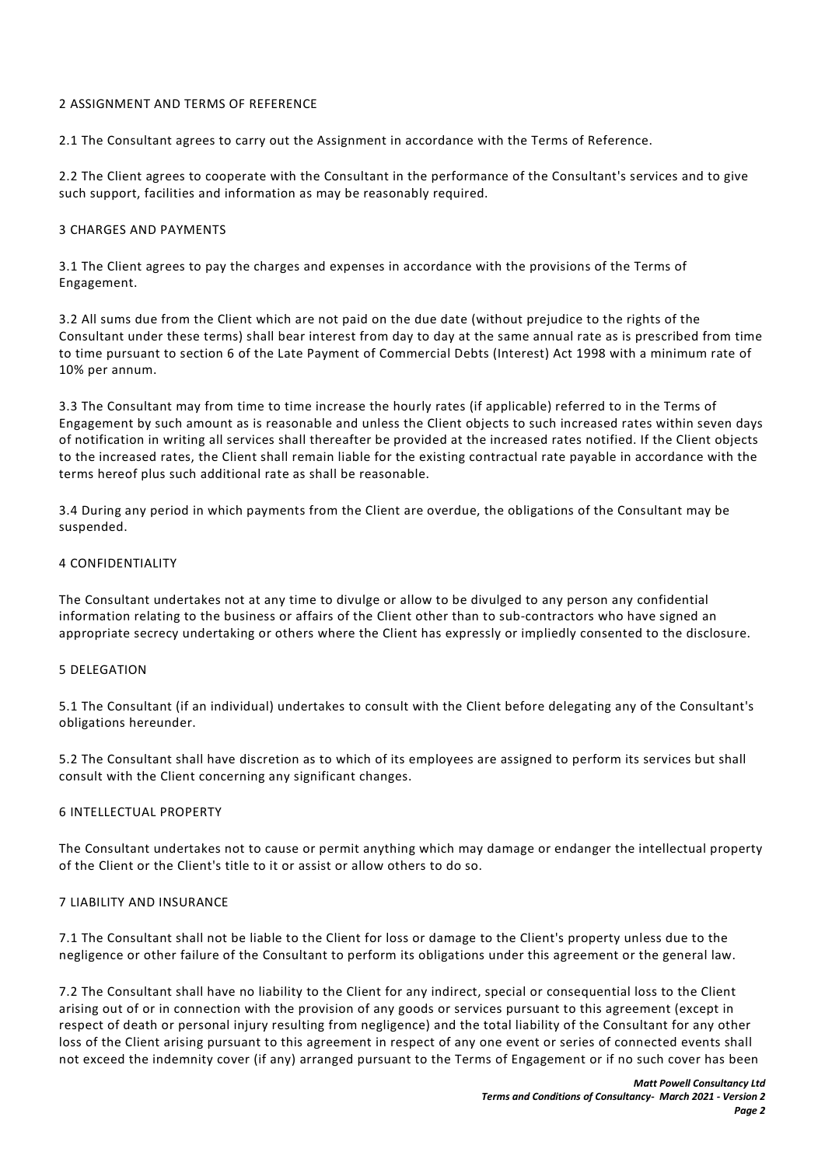### 2 ASSIGNMENT AND TERMS OF REFERENCE

2.1 The Consultant agrees to carry out the Assignment in accordance with the Terms of Reference.

2.2 The Client agrees to cooperate with the Consultant in the performance of the Consultant's services and to give such support, facilities and information as may be reasonably required.

### 3 CHARGES AND PAYMENTS

3.1 The Client agrees to pay the charges and expenses in accordance with the provisions of the Terms of Engagement.

3.2 All sums due from the Client which are not paid on the due date (without prejudice to the rights of the Consultant under these terms) shall bear interest from day to day at the same annual rate as is prescribed from time to time pursuant to section 6 of the Late Payment of Commercial Debts (Interest) Act 1998 with a minimum rate of 10% per annum.

3.3 The Consultant may from time to time increase the hourly rates (if applicable) referred to in the Terms of Engagement by such amount as is reasonable and unless the Client objects to such increased rates within seven days of notification in writing all services shall thereafter be provided at the increased rates notified. If the Client objects to the increased rates, the Client shall remain liable for the existing contractual rate payable in accordance with the terms hereof plus such additional rate as shall be reasonable.

3.4 During any period in which payments from the Client are overdue, the obligations of the Consultant may be suspended.

#### 4 CONFIDENTIALITY

The Consultant undertakes not at any time to divulge or allow to be divulged to any person any confidential information relating to the business or affairs of the Client other than to sub-contractors who have signed an appropriate secrecy undertaking or others where the Client has expressly or impliedly consented to the disclosure.

### 5 DELEGATION

5.1 The Consultant (if an individual) undertakes to consult with the Client before delegating any of the Consultant's obligations hereunder.

5.2 The Consultant shall have discretion as to which of its employees are assigned to perform its services but shall consult with the Client concerning any significant changes.

### 6 INTELLECTUAL PROPERTY

The Consultant undertakes not to cause or permit anything which may damage or endanger the intellectual property of the Client or the Client's title to it or assist or allow others to do so.

### 7 LIABILITY AND INSURANCE

7.1 The Consultant shall not be liable to the Client for loss or damage to the Client's property unless due to the negligence or other failure of the Consultant to perform its obligations under this agreement or the general law.

7.2 The Consultant shall have no liability to the Client for any indirect, special or consequential loss to the Client arising out of or in connection with the provision of any goods or services pursuant to this agreement (except in respect of death or personal injury resulting from negligence) and the total liability of the Consultant for any other loss of the Client arising pursuant to this agreement in respect of any one event or series of connected events shall not exceed the indemnity cover (if any) arranged pursuant to the Terms of Engagement or if no such cover has been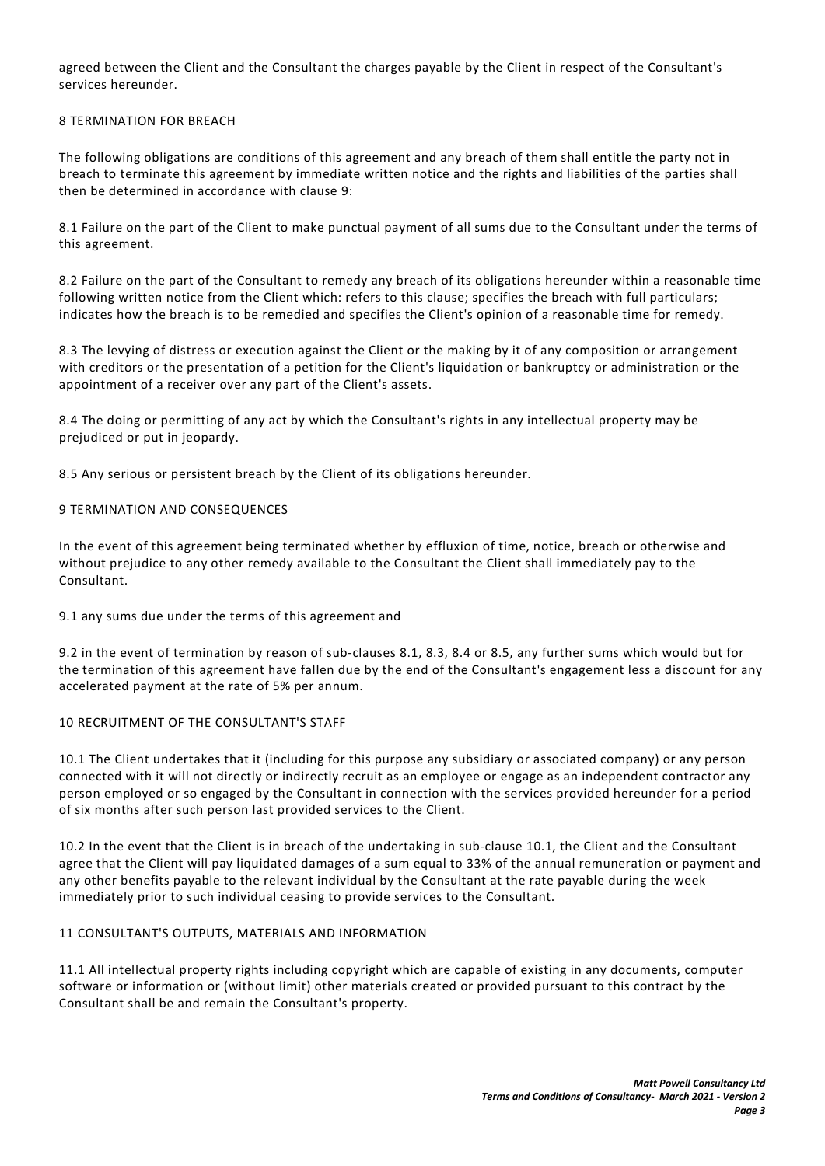agreed between the Client and the Consultant the charges payable by the Client in respect of the Consultant's services hereunder.

# 8 TERMINATION FOR BREACH

The following obligations are conditions of this agreement and any breach of them shall entitle the party not in breach to terminate this agreement by immediate written notice and the rights and liabilities of the parties shall then be determined in accordance with clause 9:

8.1 Failure on the part of the Client to make punctual payment of all sums due to the Consultant under the terms of this agreement.

8.2 Failure on the part of the Consultant to remedy any breach of its obligations hereunder within a reasonable time following written notice from the Client which: refers to this clause; specifies the breach with full particulars; indicates how the breach is to be remedied and specifies the Client's opinion of a reasonable time for remedy.

8.3 The levying of distress or execution against the Client or the making by it of any composition or arrangement with creditors or the presentation of a petition for the Client's liquidation or bankruptcy or administration or the appointment of a receiver over any part of the Client's assets.

8.4 The doing or permitting of any act by which the Consultant's rights in any intellectual property may be prejudiced or put in jeopardy.

8.5 Any serious or persistent breach by the Client of its obligations hereunder.

### 9 TERMINATION AND CONSEQUENCES

In the event of this agreement being terminated whether by effluxion of time, notice, breach or otherwise and without prejudice to any other remedy available to the Consultant the Client shall immediately pay to the Consultant.

9.1 any sums due under the terms of this agreement and

9.2 in the event of termination by reason of sub-clauses 8.1, 8.3, 8.4 or 8.5, any further sums which would but for the termination of this agreement have fallen due by the end of the Consultant's engagement less a discount for any accelerated payment at the rate of 5% per annum.

### 10 RECRUITMENT OF THE CONSULTANT'S STAFF

10.1 The Client undertakes that it (including for this purpose any subsidiary or associated company) or any person connected with it will not directly or indirectly recruit as an employee or engage as an independent contractor any person employed or so engaged by the Consultant in connection with the services provided hereunder for a period of six months after such person last provided services to the Client.

10.2 In the event that the Client is in breach of the undertaking in sub-clause 10.1, the Client and the Consultant agree that the Client will pay liquidated damages of a sum equal to 33% of the annual remuneration or payment and any other benefits payable to the relevant individual by the Consultant at the rate payable during the week immediately prior to such individual ceasing to provide services to the Consultant.

### 11 CONSULTANT'S OUTPUTS, MATERIALS AND INFORMATION

11.1 All intellectual property rights including copyright which are capable of existing in any documents, computer software or information or (without limit) other materials created or provided pursuant to this contract by the Consultant shall be and remain the Consultant's property.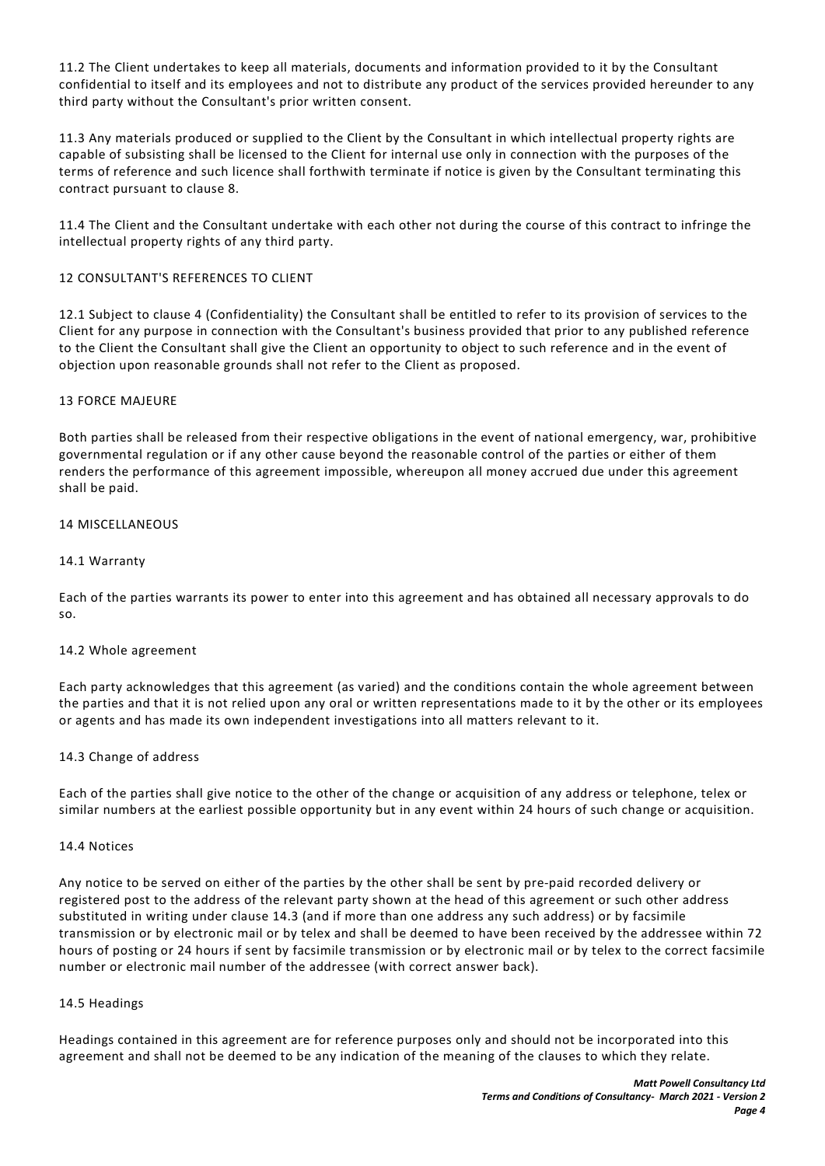11.2 The Client undertakes to keep all materials, documents and information provided to it by the Consultant confidential to itself and its employees and not to distribute any product of the services provided hereunder to any third party without the Consultant's prior written consent.

11.3 Any materials produced or supplied to the Client by the Consultant in which intellectual property rights are capable of subsisting shall be licensed to the Client for internal use only in connection with the purposes of the terms of reference and such licence shall forthwith terminate if notice is given by the Consultant terminating this contract pursuant to clause 8.

11.4 The Client and the Consultant undertake with each other not during the course of this contract to infringe the intellectual property rights of any third party.

# 12 CONSULTANT'S REFERENCES TO CLIENT

12.1 Subject to clause 4 (Confidentiality) the Consultant shall be entitled to refer to its provision of services to the Client for any purpose in connection with the Consultant's business provided that prior to any published reference to the Client the Consultant shall give the Client an opportunity to object to such reference and in the event of objection upon reasonable grounds shall not refer to the Client as proposed.

### 13 FORCE MAJEURE

Both parties shall be released from their respective obligations in the event of national emergency, war, prohibitive governmental regulation or if any other cause beyond the reasonable control of the parties or either of them renders the performance of this agreement impossible, whereupon all money accrued due under this agreement shall be paid.

## 14 MISCELLANEOUS

### 14.1 Warranty

Each of the parties warrants its power to enter into this agreement and has obtained all necessary approvals to do so.

### 14.2 Whole agreement

Each party acknowledges that this agreement (as varied) and the conditions contain the whole agreement between the parties and that it is not relied upon any oral or written representations made to it by the other or its employees or agents and has made its own independent investigations into all matters relevant to it.

### 14.3 Change of address

Each of the parties shall give notice to the other of the change or acquisition of any address or telephone, telex or similar numbers at the earliest possible opportunity but in any event within 24 hours of such change or acquisition.

### 14.4 Notices

Any notice to be served on either of the parties by the other shall be sent by pre-paid recorded delivery or registered post to the address of the relevant party shown at the head of this agreement or such other address substituted in writing under clause 14.3 (and if more than one address any such address) or by facsimile transmission or by electronic mail or by telex and shall be deemed to have been received by the addressee within 72 hours of posting or 24 hours if sent by facsimile transmission or by electronic mail or by telex to the correct facsimile number or electronic mail number of the addressee (with correct answer back).

### 14.5 Headings

Headings contained in this agreement are for reference purposes only and should not be incorporated into this agreement and shall not be deemed to be any indication of the meaning of the clauses to which they relate.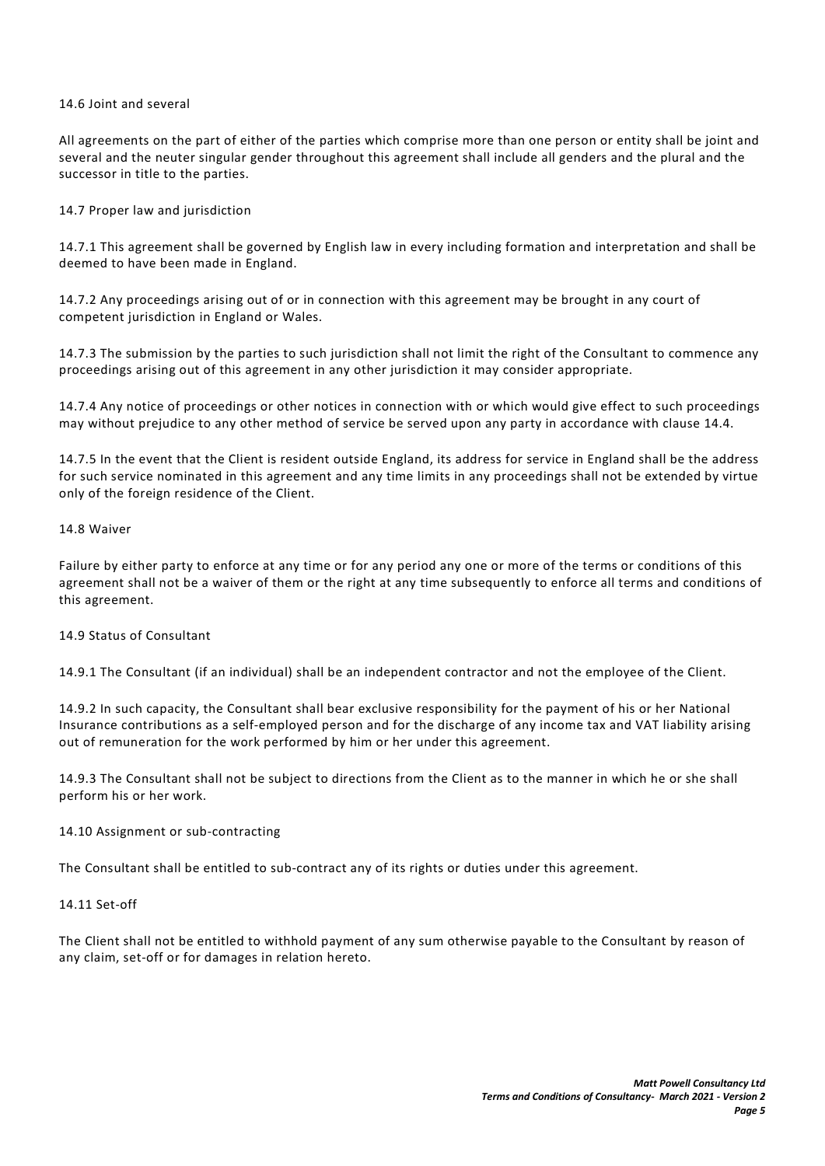### 14.6 Joint and several

All agreements on the part of either of the parties which comprise more than one person or entity shall be joint and several and the neuter singular gender throughout this agreement shall include all genders and the plural and the successor in title to the parties.

# 14.7 Proper law and jurisdiction

14.7.1 This agreement shall be governed by English law in every including formation and interpretation and shall be deemed to have been made in England.

14.7.2 Any proceedings arising out of or in connection with this agreement may be brought in any court of competent jurisdiction in England or Wales.

14.7.3 The submission by the parties to such jurisdiction shall not limit the right of the Consultant to commence any proceedings arising out of this agreement in any other jurisdiction it may consider appropriate.

14.7.4 Any notice of proceedings or other notices in connection with or which would give effect to such proceedings may without prejudice to any other method of service be served upon any party in accordance with clause 14.4.

14.7.5 In the event that the Client is resident outside England, its address for service in England shall be the address for such service nominated in this agreement and any time limits in any proceedings shall not be extended by virtue only of the foreign residence of the Client.

### 14.8 Waiver

Failure by either party to enforce at any time or for any period any one or more of the terms or conditions of this agreement shall not be a waiver of them or the right at any time subsequently to enforce all terms and conditions of this agreement.

### 14.9 Status of Consultant

14.9.1 The Consultant (if an individual) shall be an independent contractor and not the employee of the Client.

14.9.2 In such capacity, the Consultant shall bear exclusive responsibility for the payment of his or her National Insurance contributions as a self-employed person and for the discharge of any income tax and VAT liability arising out of remuneration for the work performed by him or her under this agreement.

14.9.3 The Consultant shall not be subject to directions from the Client as to the manner in which he or she shall perform his or her work.

### 14.10 Assignment or sub-contracting

The Consultant shall be entitled to sub-contract any of its rights or duties under this agreement.

### 14.11 Set-off

The Client shall not be entitled to withhold payment of any sum otherwise payable to the Consultant by reason of any claim, set-off or for damages in relation hereto.